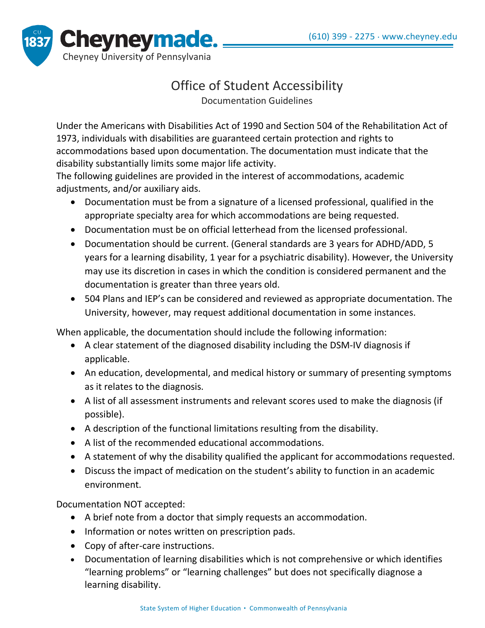

## Office of Student Accessibility

Documentation Guidelines

Under the Americans with Disabilities Act of 1990 and Section 504 of the Rehabilitation Act of 1973, individuals with disabilities are guaranteed certain protection and rights to accommodations based upon documentation. The documentation must indicate that the disability substantially limits some major life activity.

The following guidelines are provided in the interest of accommodations, academic adjustments, and/or auxiliary aids.

- Documentation must be from a signature of a licensed professional, qualified in the appropriate specialty area for which accommodations are being requested.
- Documentation must be on official letterhead from the licensed professional.
- Documentation should be current. (General standards are 3 years for ADHD/ADD, 5 years for a learning disability, 1 year for a psychiatric disability). However, the University may use its discretion in cases in which the condition is considered permanent and the documentation is greater than three years old.
- 504 Plans and IEP's can be considered and reviewed as appropriate documentation. The University, however, may request additional documentation in some instances.

When applicable, the documentation should include the following information:

- A clear statement of the diagnosed disability including the DSM-IV diagnosis if applicable.
- An education, developmental, and medical history or summary of presenting symptoms as it relates to the diagnosis.
- A list of all assessment instruments and relevant scores used to make the diagnosis (if possible).
- A description of the functional limitations resulting from the disability.
- A list of the recommended educational accommodations.
- A statement of why the disability qualified the applicant for accommodations requested.
- Discuss the impact of medication on the student's ability to function in an academic environment.

Documentation NOT accepted:

- A brief note from a doctor that simply requests an accommodation.
- Information or notes written on prescription pads.
- Copy of after-care instructions.
- Documentation of learning disabilities which is not comprehensive or which identifies "learning problems" or "learning challenges" but does not specifically diagnose a learning disability.